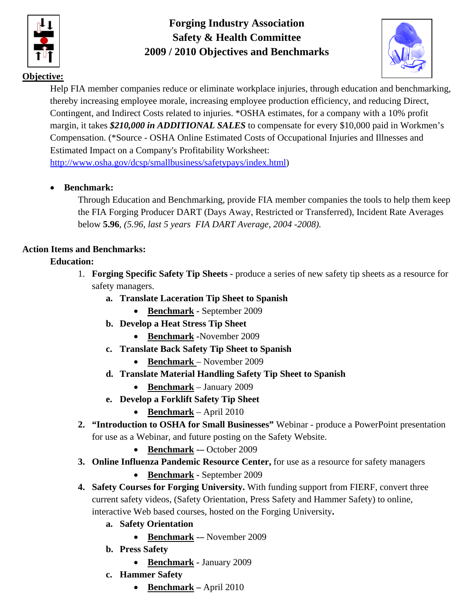

**Forging Industry Association Safety & Health Committee 2009 / 2010 Objectives and Benchmarks** 



## **Objective:**

Help FIA member companies reduce or eliminate workplace injuries, through education and benchmarking, thereby increasing employee morale, increasing employee production efficiency, and reducing Direct, Contingent, and Indirect Costs related to injuries. \*OSHA estimates, for a company with a 10% profit margin, it takes *\$210,000 in ADDITIONAL SALES* to compensate for every \$10,000 paid in Workmen's Compensation. (\*Source - OSHA Online Estimated Costs of Occupational Injuries and Illnesses and Estimated Impact on a Company's Profitability Worksheet:

http://www.osha.gov/dcsp/smallbusiness/safetypays/index.html)

## **Benchmark:**

Through Education and Benchmarking, provide FIA member companies the tools to help them keep the FIA Forging Producer DART (Days Away, Restricted or Transferred), Incident Rate Averages below **5.96**, *(5.96, last 5 years FIA DART Average, 2004 -2008).* 

## **Action Items and Benchmarks:**

#### **Education:**

- 1. **Forging Specific Safety Tip Sheets** produce a series of new safety tip sheets as a resource for safety managers.
	- **a. Translate Laceration Tip Sheet to Spanish** 
		- Benchmark September 2009
	- **b. Develop a Heat Stress Tip Sheet** 
		- **Benchmark -**November 2009
	- **c. Translate Back Safety Tip Sheet to Spanish** 
		- **Benchmark**  November 2009
	- **d. Translate Material Handling Safety Tip Sheet to Spanish** 
		- **Benchmark** January 2009
	- **e. Develop a Forklift Safety Tip Sheet** 
		- **Benchmark** April 2010
- **2. "Introduction to OSHA for Small Businesses"** Webinar produce a PowerPoint presentation for use as a Webinar, and future posting on the Safety Website.
	- Benchmark -– October 2009
- **3. Online Influenza Pandemic Resource Center,** for use as a resource for safety managers
	- Benchmark September 2009
- **4. Safety Courses for Forging University.** With funding support from FIERF, convert three current safety videos, (Safety Orientation, Press Safety and Hammer Safety) to online, interactive Web based courses, hosted on the Forging University**.** 
	- **a. Safety Orientation** 
		- Benchmark -– November 2009
	- **b. Press Safety** 
		- **Benchmark** January 2009
	- **c. Hammer Safety** 
		- **Benchmark** April 2010